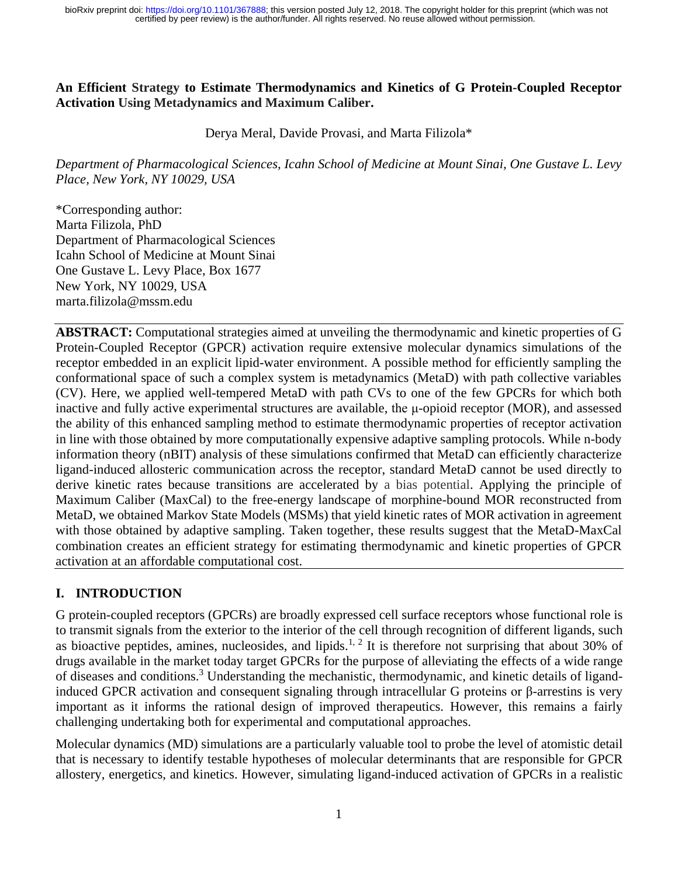#### **An Efficient Strategy to Estimate Thermodynamics and Kinetics of G Protein-Coupled Receptor Activation Using Metadynamics and Maximum Caliber.**

Derya Meral, Davide Provasi, and Marta Filizola\*

*Department of Pharmacological Sciences, Icahn School of Medicine at Mount Sinai, One Gustave L. Levy Place, New York, NY 10029, USA*

\*Corresponding author: Marta Filizola, PhD Department of Pharmacological Sciences Icahn School of Medicine at Mount Sinai One Gustave L. Levy Place, Box 1677 New York, NY 10029, USA marta.filizola@mssm.edu

**ABSTRACT:** Computational strategies aimed at unveiling the thermodynamic and kinetic properties of G Protein-Coupled Receptor (GPCR) activation require extensive molecular dynamics simulations of the receptor embedded in an explicit lipid-water environment. A possible method for efficiently sampling the conformational space of such a complex system is metadynamics (MetaD) with path collective variables (CV). Here, we applied well-tempered MetaD with path CVs to one of the few GPCRs for which both inactive and fully active experimental structures are available, the μ-opioid receptor (MOR), and assessed the ability of this enhanced sampling method to estimate thermodynamic properties of receptor activation in line with those obtained by more computationally expensive adaptive sampling protocols. While n-body information theory (nBIT) analysis of these simulations confirmed that MetaD can efficiently characterize ligand-induced allosteric communication across the receptor, standard MetaD cannot be used directly to derive kinetic rates because transitions are accelerated by a bias potential. Applying the principle of Maximum Caliber (MaxCal) to the free-energy landscape of morphine-bound MOR reconstructed from MetaD, we obtained Markov State Models (MSMs) that yield kinetic rates of MOR activation in agreement with those obtained by adaptive sampling. Taken together, these results suggest that the MetaD-MaxCal combination creates an efficient strategy for estimating thermodynamic and kinetic properties of GPCR activation at an affordable computational cost.

# **I. INTRODUCTION**

G protein-coupled receptors (GPCRs) are broadly expressed cell surface receptors whose functional role is to transmit signals from the exterior to the interior of the cell through recognition of different ligands, such as bioactive peptides, amines, nucleosides, and lipids.<sup>1, 2</sup> It is therefore not surprising that about 30% of drugs available in the market today target GPCRs for the purpose of alleviating the effects of a wide range of diseases and conditions.<sup>3</sup> Understanding the mechanistic, thermodynamic, and kinetic details of ligandinduced GPCR activation and consequent signaling through intracellular G proteins or β-arrestins is very important as it informs the rational design of improved therapeutics. However, this remains a fairly challenging undertaking both for experimental and computational approaches.

Molecular dynamics (MD) simulations are a particularly valuable tool to probe the level of atomistic detail that is necessary to identify testable hypotheses of molecular determinants that are responsible for GPCR allostery, energetics, and kinetics. However, simulating ligand-induced activation of GPCRs in a realistic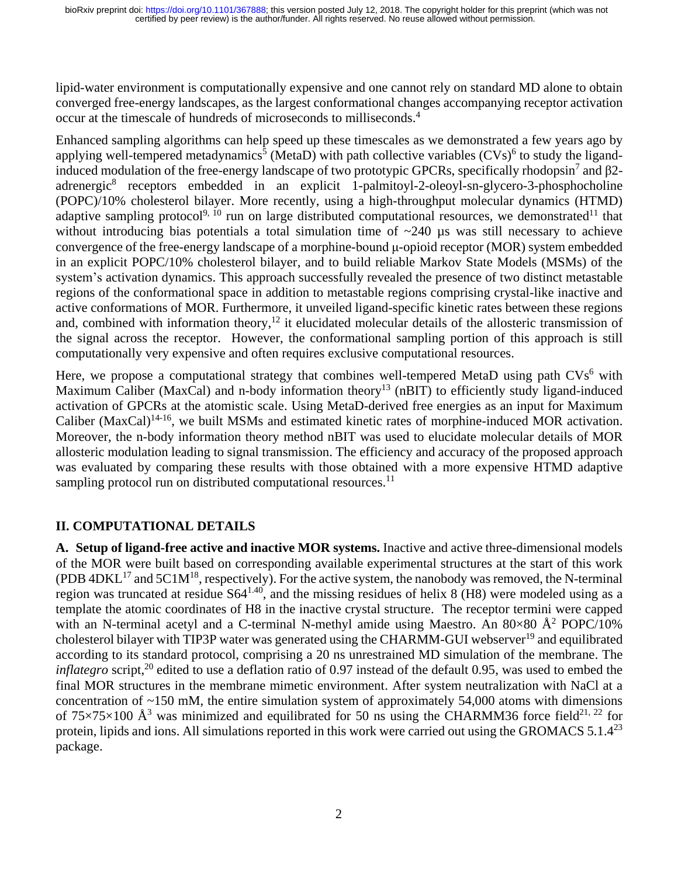lipid-water environment is computationally expensive and one cannot rely on standard MD alone to obtain converged free-energy landscapes, as the largest conformational changes accompanying receptor activation occur at the timescale of hundreds of microseconds to milliseconds. 4

Enhanced sampling algorithms can help speed up these timescales as we demonstrated a few years ago by applying well-tempered metadynamics<sup>5</sup> (MetaD) with path collective variables  $(CVs)^6$  to study the ligandinduced modulation of the free-energy landscape of two prototypic GPCRs, specifically rhodopsin<sup>7</sup> and  $\beta$ 2adrenergic<sup>8</sup> receptors embedded in an explicit 1-palmitoyl-2-oleoyl-sn-glycero-3-phosphocholine (POPC)/10% cholesterol bilayer. More recently, using a high-throughput molecular dynamics (HTMD) adaptive sampling protocol<sup>9, 10</sup> run on large distributed computational resources, we demonstrated<sup>11</sup> that without introducing bias potentials a total simulation time of  $\sim$ 240 µs was still necessary to achieve convergence of the free-energy landscape of a morphine-bound μ-opioid receptor (MOR) system embedded in an explicit POPC/10% cholesterol bilayer, and to build reliable Markov State Models (MSMs) of the system's activation dynamics. This approach successfully revealed the presence of two distinct metastable regions of the conformational space in addition to metastable regions comprising crystal-like inactive and active conformations of MOR. Furthermore, it unveiled ligand-specific kinetic rates between these regions and, combined with information theory,<sup>12</sup> it elucidated molecular details of the allosteric transmission of the signal across the receptor. However, the conformational sampling portion of this approach is still computationally very expensive and often requires exclusive computational resources.

Here, we propose a computational strategy that combines well-tempered MetaD using path  $CVs<sup>6</sup>$  with Maximum Caliber (MaxCal) and n-body information theory<sup>13</sup> (nBIT) to efficiently study ligand-induced activation of GPCRs at the atomistic scale. Using MetaD-derived free energies as an input for Maximum Caliber (MaxCal)<sup>14-16</sup>, we built MSMs and estimated kinetic rates of morphine-induced MOR activation. Moreover, the n-body information theory method nBIT was used to elucidate molecular details of MOR allosteric modulation leading to signal transmission. The efficiency and accuracy of the proposed approach was evaluated by comparing these results with those obtained with a more expensive HTMD adaptive sampling protocol run on distributed computational resources.<sup>11</sup>

# **II. COMPUTATIONAL DETAILS**

**A. Setup of ligand-free active and inactive MOR systems.** Inactive and active three-dimensional models of the MOR were built based on corresponding available experimental structures at the start of this work (PDB  $4DKL^{17}$  and  $5C1M^{18}$ , respectively). For the active system, the nanobody was removed, the N-terminal region was truncated at residue S641.40, and the missing residues of helix 8 (H8) were modeled using as a template the atomic coordinates of H8 in the inactive crystal structure. The receptor termini were capped with an N-terminal acetyl and a C-terminal N-methyl amide using Maestro. An  $80\times80\text{ Å}^2$  POPC/10% cholesterol bilayer with TIP3P water was generated using the CHARMM-GUI webserver<sup>19</sup> and equilibrated according to its standard protocol, comprising a 20 ns unrestrained MD simulation of the membrane. The *inflategro* script, <sup>20</sup> edited to use a deflation ratio of 0.97 instead of the default 0.95, was used to embed the final MOR structures in the membrane mimetic environment. After system neutralization with NaCl at a concentration of  $\sim$ 150 mM, the entire simulation system of approximately 54,000 atoms with dimensions of 75×75×100  $\AA^3$  was minimized and equilibrated for 50 ns using the CHARMM36 force field<sup>21, 22</sup> for protein, lipids and ions. All simulations reported in this work were carried out using the GROMACS 5.1.4<sup>23</sup> package.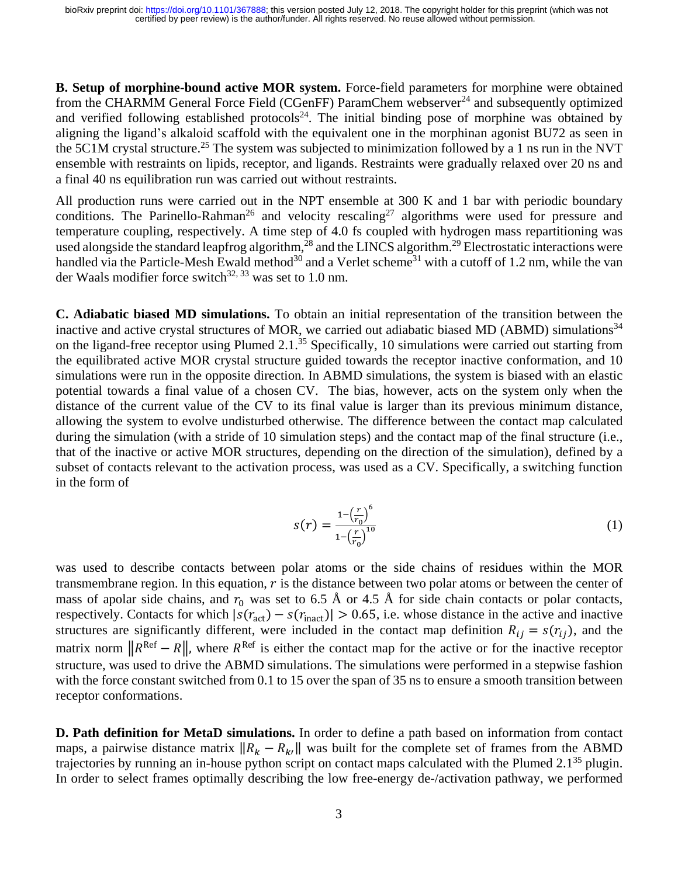**B. Setup of morphine-bound active MOR system.** Force-field parameters for morphine were obtained from the CHARMM General Force Field (CGenFF) ParamChem webserver<sup>24</sup> and subsequently optimized and verified following established protocols<sup>24</sup>. The initial binding pose of morphine was obtained by aligning the ligand's alkaloid scaffold with the equivalent one in the morphinan agonist BU72 as seen in the 5C1M crystal structure.<sup>25</sup> The system was subjected to minimization followed by a 1 ns run in the NVT ensemble with restraints on lipids, receptor, and ligands. Restraints were gradually relaxed over 20 ns and a final 40 ns equilibration run was carried out without restraints.

All production runs were carried out in the NPT ensemble at 300 K and 1 bar with periodic boundary conditions. The Parinello-Rahman<sup>26</sup> and velocity rescaling<sup>27</sup> algorithms were used for pressure and temperature coupling, respectively. A time step of 4.0 fs coupled with hydrogen mass repartitioning was used alongside the standard leapfrog algorithm,<sup>28</sup> and the LINCS algorithm.<sup>29</sup> Electrostatic interactions were handled via the Particle-Mesh Ewald method<sup>30</sup> and a Verlet scheme<sup>31</sup> with a cutoff of 1.2 nm, while the van der Waals modifier force switch $32, 33$  was set to 1.0 nm.

**C. Adiabatic biased MD simulations.** To obtain an initial representation of the transition between the inactive and active crystal structures of MOR, we carried out adiabatic biased MD (ABMD) simulations<sup>34</sup> on the ligand-free receptor using Plumed 2.1.<sup>35</sup> Specifically, 10 simulations were carried out starting from the equilibrated active MOR crystal structure guided towards the receptor inactive conformation, and 10 simulations were run in the opposite direction. In ABMD simulations, the system is biased with an elastic potential towards a final value of a chosen CV. The bias, however, acts on the system only when the distance of the current value of the CV to its final value is larger than its previous minimum distance, allowing the system to evolve undisturbed otherwise. The difference between the contact map calculated during the simulation (with a stride of 10 simulation steps) and the contact map of the final structure (i.e., that of the inactive or active MOR structures, depending on the direction of the simulation), defined by a subset of contacts relevant to the activation process, was used as a CV. Specifically, a switching function in the form of

$$
s(r) = \frac{1 - \left(\frac{r}{r_0}\right)^6}{1 - \left(\frac{r}{r_0}\right)^{10}}\tag{1}
$$

was used to describe contacts between polar atoms or the side chains of residues within the MOR transmembrane region. In this equation,  $r$  is the distance between two polar atoms or between the center of mass of apolar side chains, and  $r_0$  was set to 6.5 Å or 4.5 Å for side chain contacts or polar contacts, respectively. Contacts for which  $|\dot{s}(r_{\text{act}}) - s(r_{\text{inact}})| > 0.65$ , i.e. whose distance in the active and inactive structures are significantly different, were included in the contact map definition  $R_{ij} = s(r_{ij})$ , and the matrix norm  $||R^{Ref} - R||$ , where  $R^{Ref}$  is either the contact map for the active or for the inactive receptor structure, was used to drive the ABMD simulations. The simulations were performed in a stepwise fashion with the force constant switched from 0.1 to 15 over the span of 35 ns to ensure a smooth transition between receptor conformations.

**D. Path definition for MetaD simulations.** In order to define a path based on information from contact maps, a pairwise distance matrix  $||R_k - R_{k'}||$  was built for the complete set of frames from the ABMD trajectories by running an in-house python script on contact maps calculated with the Plumed  $2.1^{35}$  plugin. In order to select frames optimally describing the low free-energy de-/activation pathway, we performed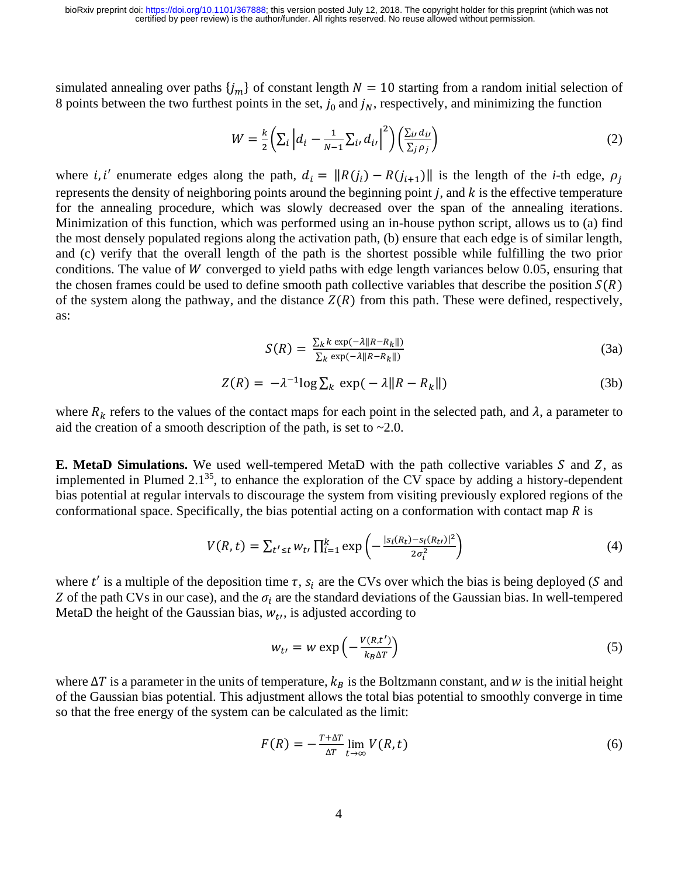simulated annealing over paths  ${j_m}$  of constant length  $N = 10$  starting from a random initial selection of 8 points between the two furthest points in the set,  $j_0$  and  $j_N$ , respectively, and minimizing the function

$$
W = \frac{k}{2} \left( \sum_{i} \left| d_i - \frac{1}{N-1} \sum_{i} d_i \right|^2 \right) \left( \frac{\sum_{i} d_i}{\sum_{j} \rho_j} \right)
$$
 (2)

where *i*, *i'* enumerate edges along the path,  $d_i = ||R(j_i) - R(j_{i+1})||$  is the length of the *i*-th edge,  $\rho_i$ represents the density of neighboring points around the beginning point  $j$ , and  $k$  is the effective temperature for the annealing procedure, which was slowly decreased over the span of the annealing iterations. Minimization of this function, which was performed using an in-house python script, allows us to (a) find the most densely populated regions along the activation path, (b) ensure that each edge is of similar length, and (c) verify that the overall length of the path is the shortest possible while fulfilling the two prior conditions. The value of  $W$  converged to yield paths with edge length variances below 0.05, ensuring that the chosen frames could be used to define smooth path collective variables that describe the position  $S(R)$ of the system along the pathway, and the distance  $Z(R)$  from this path. These were defined, respectively, as:

$$
S(R) = \frac{\sum_{k} k \exp(-\lambda ||R - R_k||)}{\sum_{k} \exp(-\lambda ||R - R_k||)}
$$
(3a)

$$
Z(R) = -\lambda^{-1} \log \sum_{k} \exp(-\lambda \|R - R_{k}\|)
$$
 (3b)

where  $R_k$  refers to the values of the contact maps for each point in the selected path, and  $\lambda$ , a parameter to aid the creation of a smooth description of the path, is set to  $\sim 2.0$ .

**E. MetaD Simulations.** We used well-tempered MetaD with the path collective variables S and Z, as implemented in Plumed  $2.1^{35}$ , to enhance the exploration of the CV space by adding a history-dependent bias potential at regular intervals to discourage the system from visiting previously explored regions of the conformational space. Specifically, the bias potential acting on a conformation with contact map  $R$  is

$$
V(R,t) = \sum_{t' \le t} w_{t'} \prod_{i=1}^{k} \exp\left(-\frac{|s_i(R_t) - s_i(R_{t'})|^2}{2\sigma_i^2}\right)
$$
(4)

where t' is a multiple of the deposition time  $\tau$ ,  $s_i$  are the CVs over which the bias is being deployed (S and Z of the path CVs in our case), and the  $\sigma_i$  are the standard deviations of the Gaussian bias. In well-tempered MetaD the height of the Gaussian bias,  $w_t$ , is adjusted according to

$$
w_{t'} = w \exp\left(-\frac{V(R, t')}{k_B \Delta T}\right) \tag{5}
$$

where  $\Delta T$  is a parameter in the units of temperature,  $k_B$  is the Boltzmann constant, and w is the initial height of the Gaussian bias potential. This adjustment allows the total bias potential to smoothly converge in time so that the free energy of the system can be calculated as the limit:

$$
F(R) = -\frac{T + \Delta T}{\Delta T} \lim_{t \to \infty} V(R, t)
$$
\n<sup>(6)</sup>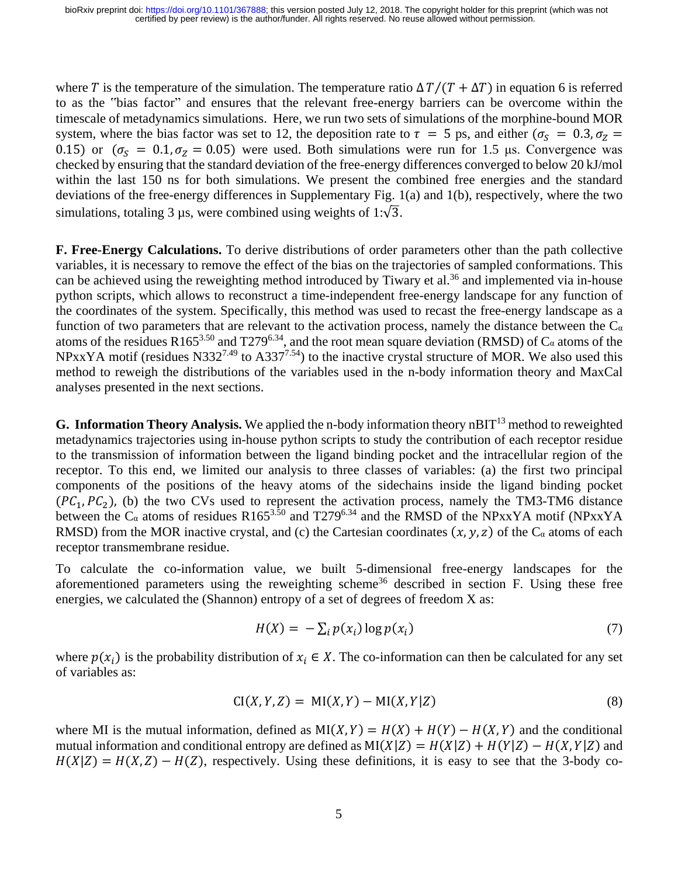where T is the temperature of the simulation. The temperature ratio  $\Delta T/(T + \Delta T)$  in equation 6 is referred to as the "bias factor" and ensures that the relevant free-energy barriers can be overcome within the timescale of metadynamics simulations. Here, we run two sets of simulations of the morphine-bound MOR system, where the bias factor was set to 12, the deposition rate to  $\tau = 5$  ps, and either  $(\sigma_s = 0.3, \sigma_z = 1.5)$ 0.15) or  $(\sigma_s = 0.1, \sigma_z = 0.05)$  were used. Both simulations were run for 1.5 μs. Convergence was checked by ensuring that the standard deviation of the free-energy differences converged to below 20 kJ/mol within the last 150 ns for both simulations. We present the combined free energies and the standard deviations of the free-energy differences in Supplementary Fig. 1(a) and 1(b), respectively, where the two simulations, totaling 3 µs, were combined using weights of  $1:\sqrt{3}$ .

**F. Free-Energy Calculations.** To derive distributions of order parameters other than the path collective variables, it is necessary to remove the effect of the bias on the trajectories of sampled conformations. This can be achieved using the reweighting method introduced by Tiwary et al.<sup>36</sup> and implemented via in-house python scripts, which allows to reconstruct a time-independent free-energy landscape for any function of the coordinates of the system. Specifically, this method was used to recast the free-energy landscape as a function of two parameters that are relevant to the activation process, namely the distance between the  $C_{\alpha}$ atoms of the residues R165<sup>3.50</sup> and T279<sup>6.34</sup>, and the root mean square deviation (RMSD) of  $C_{\alpha}$  atoms of the  $NPxxYA$  motif (residues N332<sup>7.49</sup> to A337<sup>7.54</sup>) to the inactive crystal structure of MOR. We also used this method to reweigh the distributions of the variables used in the n-body information theory and MaxCal analyses presented in the next sections.

**G. Information Theory Analysis.** We applied the n-body information theory nBIT<sup>13</sup> method to reweighted metadynamics trajectories using in-house python scripts to study the contribution of each receptor residue to the transmission of information between the ligand binding pocket and the intracellular region of the receptor. To this end, we limited our analysis to three classes of variables: (a) the first two principal components of the positions of the heavy atoms of the sidechains inside the ligand binding pocket  $(PC_1, PC_2)$ , (b) the two CVs used to represent the activation process, namely the TM3-TM6 distance between the  $C_{\alpha}$  atoms of residues R165<sup>3.50</sup> and T279<sup>6.34</sup> and the RMSD of the NPxxYA motif (NPxxYA) RMSD) from the MOR inactive crystal, and (c) the Cartesian coordinates  $(x, y, z)$  of the C<sub>α</sub> atoms of each receptor transmembrane residue.

To calculate the co-information value, we built 5-dimensional free-energy landscapes for the aforementioned parameters using the reweighting scheme<sup>36</sup> described in section F. Using these free energies, we calculated the (Shannon) entropy of a set of degrees of freedom X as:

$$
H(X) = -\sum_{i} p(x_i) \log p(x_i)
$$
 (7)

where  $p(x_i)$  is the probability distribution of  $x_i \in X$ . The co-information can then be calculated for any set of variables as:

$$
CI(X, Y, Z) = MI(X, Y) - MI(X, Y|Z)
$$
\n
$$
(8)
$$

where MI is the mutual information, defined as  $M1(X, Y) = H(X) + H(Y) - H(X, Y)$  and the conditional mutual information and conditional entropy are defined as  $MI(X|Z) = H(X|Z) + H(Y|Z) - H(X,Y|Z)$  and  $H(X|Z) = H(X, Z) - H(Z)$ , respectively. Using these definitions, it is easy to see that the 3-body co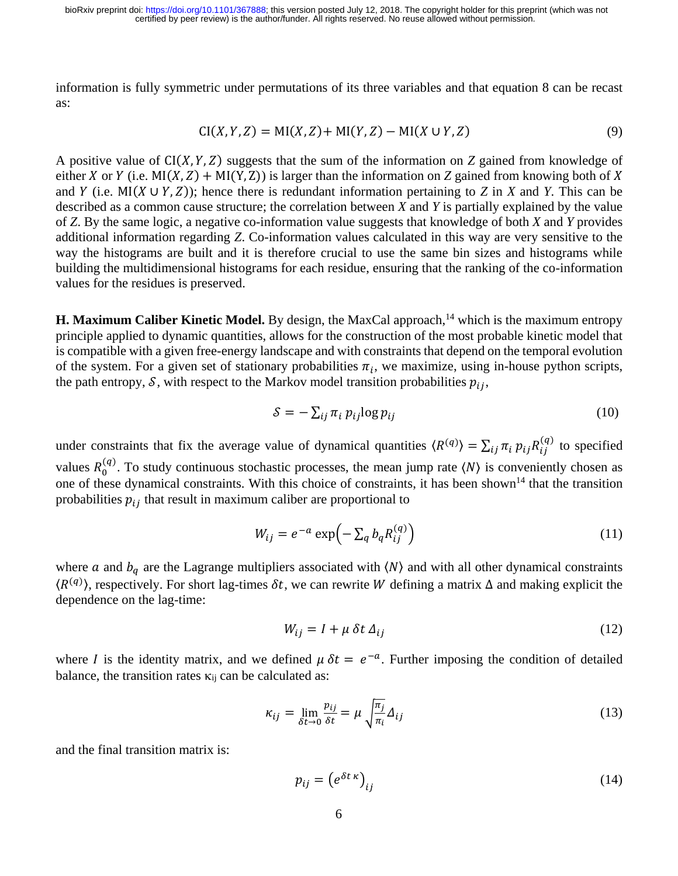information is fully symmetric under permutations of its three variables and that equation 8 can be recast as:

$$
CI(X, Y, Z) = MI(X, Z) + MI(Y, Z) - MI(X \cup Y, Z)
$$
\n(9)

A positive value of  $CI(X, Y, Z)$  suggests that the sum of the information on *Z* gained from knowledge of either X or Y (i.e. MI(X, Z) + MI(Y, Z)) is larger than the information on Z gained from knowing both of X and *Y* (i.e. MI( $X \cup Y, Z$ )); hence there is redundant information pertaining to *Z* in *X* and *Y*. This can be described as a common cause structure; the correlation between *X* and *Y* is partially explained by the value of *Z*. By the same logic, a negative co-information value suggests that knowledge of both *X* and *Y* provides additional information regarding *Z*. Co-information values calculated in this way are very sensitive to the way the histograms are built and it is therefore crucial to use the same bin sizes and histograms while building the multidimensional histograms for each residue, ensuring that the ranking of the co-information values for the residues is preserved.

**H. Maximum Caliber Kinetic Model.** By design, the MaxCal approach,<sup>14</sup> which is the maximum entropy principle applied to dynamic quantities, allows for the construction of the most probable kinetic model that is compatible with a given free-energy landscape and with constraints that depend on the temporal evolution of the system. For a given set of stationary probabilities  $\pi_i$ , we maximize, using in-house python scripts, the path entropy,  $S$ , with respect to the Markov model transition probabilities  $p_{ij}$ ,

$$
S = -\sum_{ij} \pi_i \, p_{ij} \log p_{ij} \tag{10}
$$

under constraints that fix the average value of dynamical quantities  $\langle R^{(q)} \rangle = \sum_{ij} \pi_i p_{ij} R^{(q)}_{ij}$  to specified values  $R_0^{(q)}$ . To study continuous stochastic processes, the mean jump rate  $\langle N \rangle$  is conveniently chosen as one of these dynamical constraints. With this choice of constraints, it has been shown<sup>14</sup> that the transition probabilities  $p_{ij}$  that result in maximum caliber are proportional to

$$
W_{ij} = e^{-a} \exp\left(-\sum_{q} b_{q} R_{ij}^{(q)}\right) \tag{11}
$$

where a and  $b_q$  are the Lagrange multipliers associated with  $\langle N \rangle$  and with all other dynamical constraints  $\langle R^{(q)} \rangle$ , respectively. For short lag-times  $\delta t$ , we can rewrite W defining a matrix  $\Delta$  and making explicit the dependence on the lag-time:

$$
W_{ij} = I + \mu \, \delta t \, \Delta_{ij} \tag{12}
$$

where I is the identity matrix, and we defined  $\mu \delta t = e^{-a}$ . Further imposing the condition of detailed balance, the transition rates  $\kappa_{ii}$  can be calculated as:

$$
\kappa_{ij} = \lim_{\delta t \to 0} \frac{p_{ij}}{\delta t} = \mu \sqrt{\frac{\pi_j}{\pi_i}} \Delta_{ij}
$$
\n(13)

and the final transition matrix is:

$$
p_{ij} = \left(e^{\delta t \kappa}\right)_{ij} \tag{14}
$$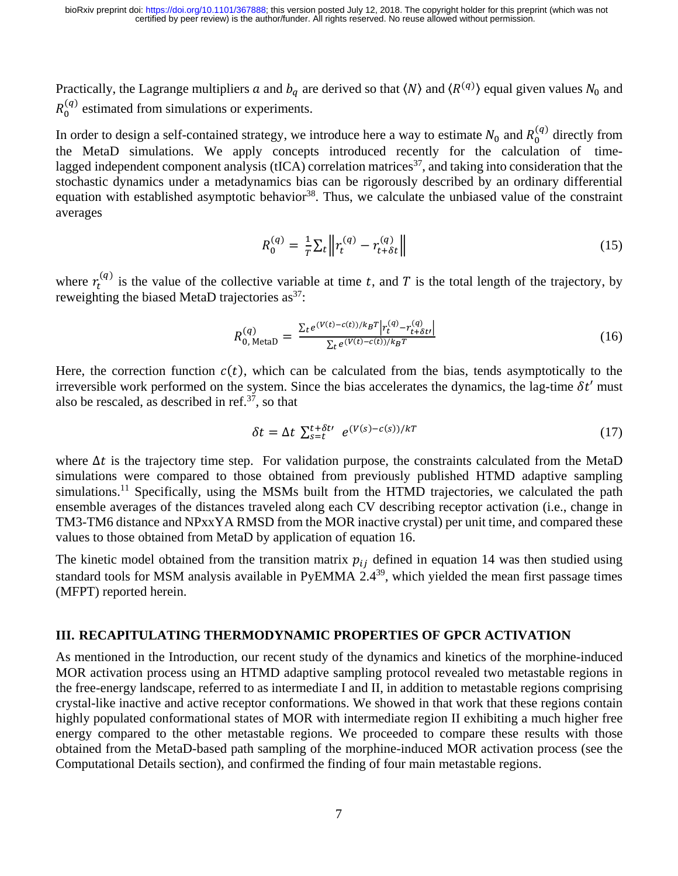Practically, the Lagrange multipliers a and  $b_q$  are derived so that  $\langle N \rangle$  and  $\langle R^{(q)} \rangle$  equal given values  $N_0$  and  $R_0^{(q)}$  estimated from simulations or experiments.

In order to design a self-contained strategy, we introduce here a way to estimate  $N_0$  and  $R_0^{(q)}$  directly from the MetaD simulations. We apply concepts introduced recently for the calculation of timelagged independent component analysis (tICA) correlation matrices<sup>37</sup>, and taking into consideration that the stochastic dynamics under a metadynamics bias can be rigorously described by an ordinary differential equation with established asymptotic behavior<sup>38</sup>. Thus, we calculate the unbiased value of the constraint averages

$$
R_0^{(q)} = \frac{1}{T} \sum_{t} \left\| r_t^{(q)} - r_{t+\delta t}^{(q)} \right\| \tag{15}
$$

where  $r_t^{(q)}$  is the value of the collective variable at time t, and T is the total length of the trajectory, by reweighting the biased MetaD trajectories  $as^{37}$ :

$$
R_{0,\text{MetaD}}^{(q)} = \frac{\sum_{t} e^{(V(t) - c(t))/k_B T} \left| r_t^{(q)} - r_{t + \delta t}^{(q)} \right|}{\sum_{t} e^{(V(t) - c(t))/k_B T}}
$$
(16)

Here, the correction function  $c(t)$ , which can be calculated from the bias, tends asymptotically to the irreversible work performed on the system. Since the bias accelerates the dynamics, the lag-time  $\delta t'$  must also be rescaled, as described in ref. <sup>37</sup>, so that

$$
\delta t = \Delta t \sum_{s=t}^{t+\delta t} e^{(V(s)-c(s))/kT} \tag{17}
$$

where  $\Delta t$  is the trajectory time step. For validation purpose, the constraints calculated from the MetaD simulations were compared to those obtained from previously published HTMD adaptive sampling simulations.<sup>11</sup> Specifically, using the MSMs built from the HTMD trajectories, we calculated the path ensemble averages of the distances traveled along each CV describing receptor activation (i.e., change in TM3-TM6 distance and NPxxYA RMSD from the MOR inactive crystal) per unit time, and compared these values to those obtained from MetaD by application of equation 16.

The kinetic model obtained from the transition matrix  $p_{ij}$  defined in equation 14 was then studied using standard tools for MSM analysis available in PyEMMA  $2.4^{39}$ , which yielded the mean first passage times (MFPT) reported herein.

#### **III. RECAPITULATING THERMODYNAMIC PROPERTIES OF GPCR ACTIVATION**

As mentioned in the Introduction, our recent study of the dynamics and kinetics of the morphine-induced MOR activation process using an HTMD adaptive sampling protocol revealed two metastable regions in the free-energy landscape, referred to as intermediate I and II, in addition to metastable regions comprising crystal-like inactive and active receptor conformations. We showed in that work that these regions contain highly populated conformational states of MOR with intermediate region II exhibiting a much higher free energy compared to the other metastable regions. We proceeded to compare these results with those obtained from the MetaD-based path sampling of the morphine-induced MOR activation process (see the Computational Details section), and confirmed the finding of four main metastable regions.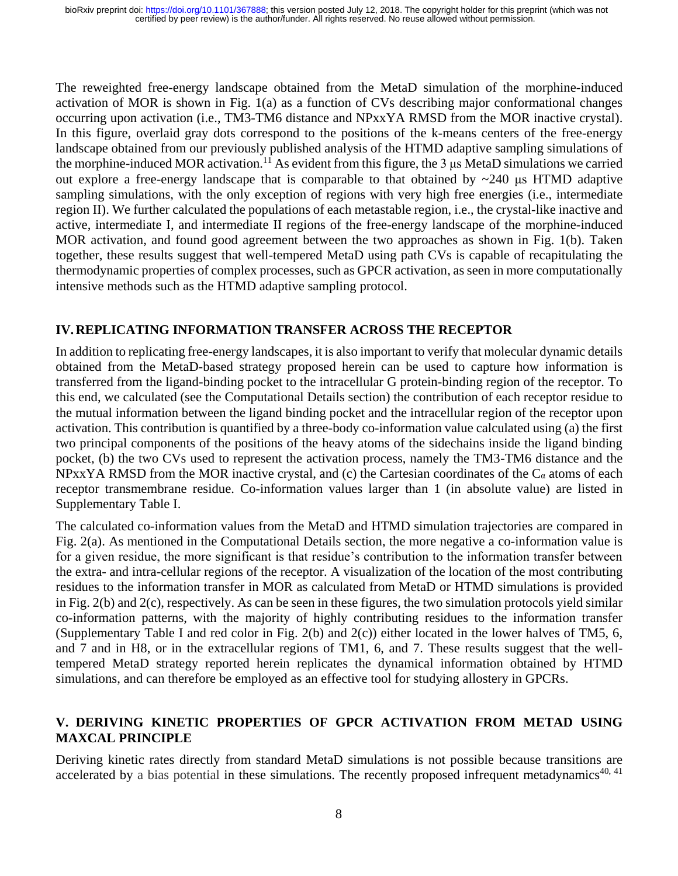The reweighted free-energy landscape obtained from the MetaD simulation of the morphine-induced activation of MOR is shown in Fig. 1(a) as a function of CVs describing major conformational changes occurring upon activation (i.e., TM3-TM6 distance and NPxxYA RMSD from the MOR inactive crystal). In this figure, overlaid gray dots correspond to the positions of the k-means centers of the free-energy landscape obtained from our previously published analysis of the HTMD adaptive sampling simulations of the morphine-induced MOR activation.<sup>11</sup> As evident from this figure, the 3  $\mu$ s MetaD simulations we carried out explore a free-energy landscape that is comparable to that obtained by  $\sim$ 240 μs HTMD adaptive sampling simulations, with the only exception of regions with very high free energies (i.e., intermediate region II). We further calculated the populations of each metastable region, i.e., the crystal-like inactive and active, intermediate I, and intermediate II regions of the free-energy landscape of the morphine-induced MOR activation, and found good agreement between the two approaches as shown in Fig. 1(b). Taken together, these results suggest that well-tempered MetaD using path CVs is capable of recapitulating the thermodynamic properties of complex processes, such as GPCR activation, as seen in more computationally intensive methods such as the HTMD adaptive sampling protocol.

### **IV.REPLICATING INFORMATION TRANSFER ACROSS THE RECEPTOR**

In addition to replicating free-energy landscapes, it is also important to verify that molecular dynamic details obtained from the MetaD-based strategy proposed herein can be used to capture how information is transferred from the ligand-binding pocket to the intracellular G protein-binding region of the receptor. To this end, we calculated (see the Computational Details section) the contribution of each receptor residue to the mutual information between the ligand binding pocket and the intracellular region of the receptor upon activation. This contribution is quantified by a three-body co-information value calculated using (a) the first two principal components of the positions of the heavy atoms of the sidechains inside the ligand binding pocket, (b) the two CVs used to represent the activation process, namely the TM3-TM6 distance and the NPxxYA RMSD from the MOR inactive crystal, and (c) the Cartesian coordinates of the  $C_{\alpha}$  atoms of each receptor transmembrane residue. Co-information values larger than 1 (in absolute value) are listed in Supplementary Table I.

The calculated co-information values from the MetaD and HTMD simulation trajectories are compared in Fig. 2(a). As mentioned in the Computational Details section, the more negative a co-information value is for a given residue, the more significant is that residue's contribution to the information transfer between the extra- and intra-cellular regions of the receptor. A visualization of the location of the most contributing residues to the information transfer in MOR as calculated from MetaD or HTMD simulations is provided in Fig. 2(b) and 2(c), respectively. As can be seen in these figures, the two simulation protocols yield similar co-information patterns, with the majority of highly contributing residues to the information transfer (Supplementary Table I and red color in Fig. 2(b) and 2(c)) either located in the lower halves of TM5, 6, and 7 and in H8, or in the extracellular regions of TM1, 6, and 7. These results suggest that the welltempered MetaD strategy reported herein replicates the dynamical information obtained by HTMD simulations, and can therefore be employed as an effective tool for studying allostery in GPCRs.

# **V. DERIVING KINETIC PROPERTIES OF GPCR ACTIVATION FROM METAD USING MAXCAL PRINCIPLE**

Deriving kinetic rates directly from standard MetaD simulations is not possible because transitions are accelerated by a bias potential in these simulations. The recently proposed infrequent metadynamics<sup>40, 41</sup>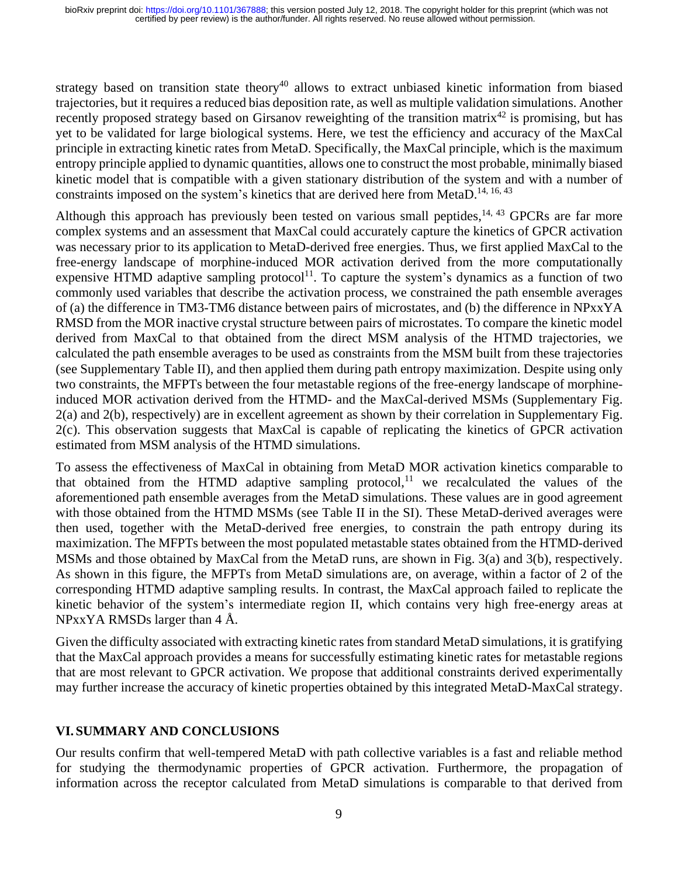strategy based on transition state theory<sup>40</sup> allows to extract unbiased kinetic information from biased trajectories, but it requires a reduced bias deposition rate, as well as multiple validation simulations. Another recently proposed strategy based on Girsanov reweighting of the transition matrix<sup>42</sup> is promising, but has yet to be validated for large biological systems. Here, we test the efficiency and accuracy of the MaxCal principle in extracting kinetic rates from MetaD. Specifically, the MaxCal principle, which is the maximum entropy principle applied to dynamic quantities, allows one to construct the most probable, minimally biased kinetic model that is compatible with a given stationary distribution of the system and with a number of constraints imposed on the system's kinetics that are derived here from MetaD.<sup>14, 16, 43</sup>

Although this approach has previously been tested on various small peptides,  $14, 43$  GPCRs are far more complex systems and an assessment that MaxCal could accurately capture the kinetics of GPCR activation was necessary prior to its application to MetaD-derived free energies. Thus, we first applied MaxCal to the free-energy landscape of morphine-induced MOR activation derived from the more computationally expensive HTMD adaptive sampling protocol<sup>11</sup>. To capture the system's dynamics as a function of two commonly used variables that describe the activation process, we constrained the path ensemble averages of (a) the difference in TM3-TM6 distance between pairs of microstates, and (b) the difference in NPxxYA RMSD from the MOR inactive crystal structure between pairs of microstates. To compare the kinetic model derived from MaxCal to that obtained from the direct MSM analysis of the HTMD trajectories, we calculated the path ensemble averages to be used as constraints from the MSM built from these trajectories (see Supplementary Table II), and then applied them during path entropy maximization. Despite using only two constraints, the MFPTs between the four metastable regions of the free-energy landscape of morphineinduced MOR activation derived from the HTMD- and the MaxCal-derived MSMs (Supplementary Fig. 2(a) and 2(b), respectively) are in excellent agreement as shown by their correlation in Supplementary Fig. 2(c). This observation suggests that MaxCal is capable of replicating the kinetics of GPCR activation estimated from MSM analysis of the HTMD simulations.

To assess the effectiveness of MaxCal in obtaining from MetaD MOR activation kinetics comparable to that obtained from the HTMD adaptive sampling protocol,<sup>11</sup> we recalculated the values of the aforementioned path ensemble averages from the MetaD simulations. These values are in good agreement with those obtained from the HTMD MSMs (see Table II in the SI). These MetaD-derived averages were then used, together with the MetaD-derived free energies, to constrain the path entropy during its maximization. The MFPTs between the most populated metastable states obtained from the HTMD-derived MSMs and those obtained by MaxCal from the MetaD runs, are shown in Fig. 3(a) and 3(b), respectively. As shown in this figure, the MFPTs from MetaD simulations are, on average, within a factor of 2 of the corresponding HTMD adaptive sampling results. In contrast, the MaxCal approach failed to replicate the kinetic behavior of the system's intermediate region II, which contains very high free-energy areas at NPxxYA RMSDs larger than 4 Å.

Given the difficulty associated with extracting kinetic rates from standard MetaD simulations, it is gratifying that the MaxCal approach provides a means for successfully estimating kinetic rates for metastable regions that are most relevant to GPCR activation. We propose that additional constraints derived experimentally may further increase the accuracy of kinetic properties obtained by this integrated MetaD-MaxCal strategy.

# **VI.SUMMARY AND CONCLUSIONS**

Our results confirm that well-tempered MetaD with path collective variables is a fast and reliable method for studying the thermodynamic properties of GPCR activation. Furthermore, the propagation of information across the receptor calculated from MetaD simulations is comparable to that derived from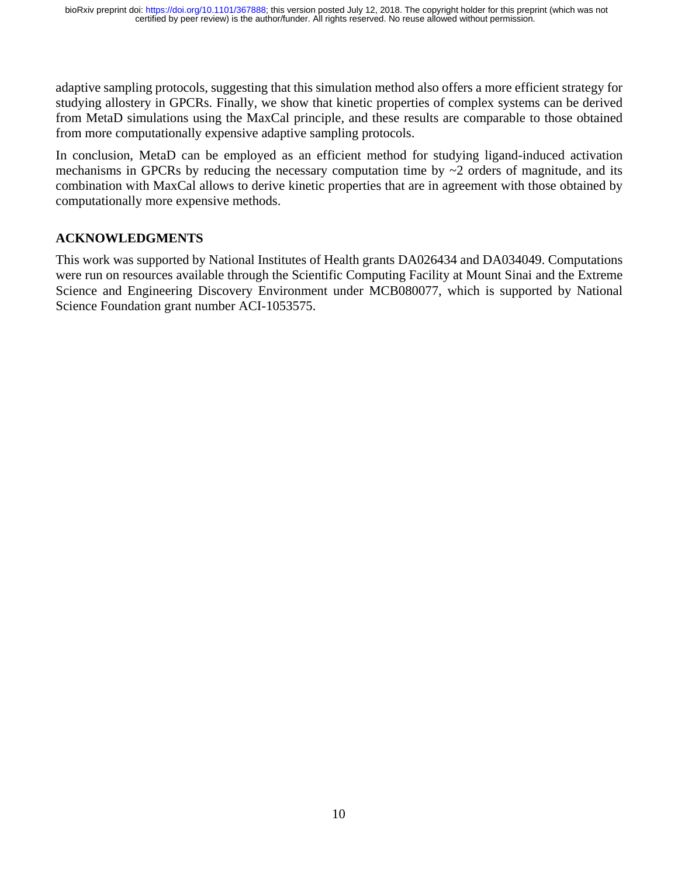adaptive sampling protocols, suggesting that this simulation method also offers a more efficient strategy for studying allostery in GPCRs. Finally, we show that kinetic properties of complex systems can be derived from MetaD simulations using the MaxCal principle, and these results are comparable to those obtained from more computationally expensive adaptive sampling protocols.

In conclusion, MetaD can be employed as an efficient method for studying ligand-induced activation mechanisms in GPCRs by reducing the necessary computation time by  $\sim$ 2 orders of magnitude, and its combination with MaxCal allows to derive kinetic properties that are in agreement with those obtained by computationally more expensive methods.

### **ACKNOWLEDGMENTS**

This work was supported by National Institutes of Health grants DA026434 and DA034049. Computations were run on resources available through the Scientific Computing Facility at Mount Sinai and the Extreme Science and Engineering Discovery Environment under MCB080077, which is supported by National Science Foundation grant number ACI-1053575.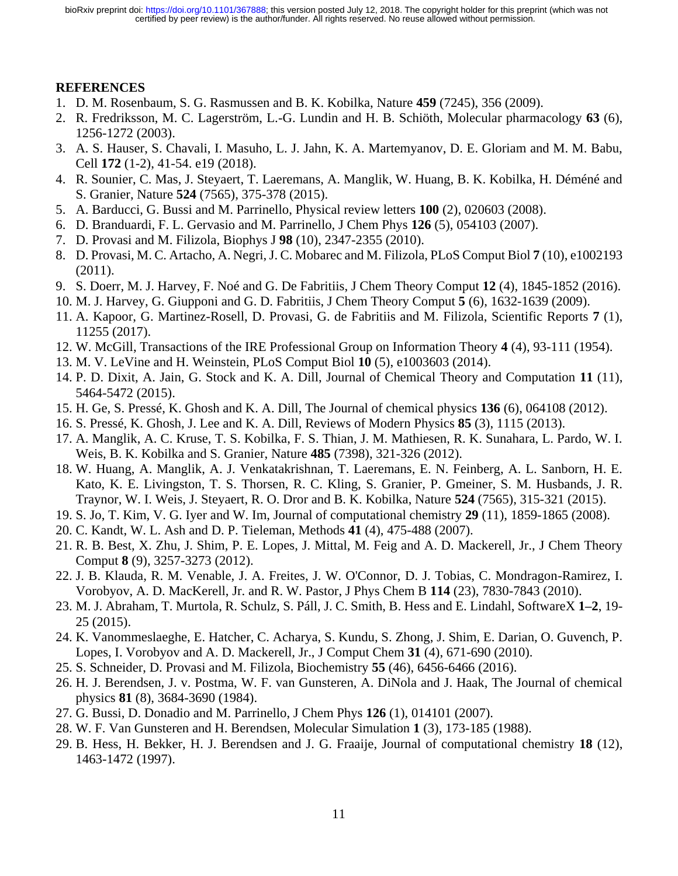#### **REFERENCES**

- 1. D. M. Rosenbaum, S. G. Rasmussen and B. K. Kobilka, Nature **459** (7245), 356 (2009).
- 2. R. Fredriksson, M. C. Lagerström, L.-G. Lundin and H. B. Schiöth, Molecular pharmacology **63** (6), 1256-1272 (2003).
- 3. A. S. Hauser, S. Chavali, I. Masuho, L. J. Jahn, K. A. Martemyanov, D. E. Gloriam and M. M. Babu, Cell **172** (1-2), 41-54. e19 (2018).
- 4. R. Sounier, C. Mas, J. Steyaert, T. Laeremans, A. Manglik, W. Huang, B. K. Kobilka, H. Déméné and S. Granier, Nature **524** (7565), 375-378 (2015).
- 5. A. Barducci, G. Bussi and M. Parrinello, Physical review letters **100** (2), 020603 (2008).
- 6. D. Branduardi, F. L. Gervasio and M. Parrinello, J Chem Phys **126** (5), 054103 (2007).
- 7. D. Provasi and M. Filizola, Biophys J **98** (10), 2347-2355 (2010).
- 8. D. Provasi, M. C. Artacho, A. Negri, J. C. Mobarec and M. Filizola, PLoS Comput Biol **7** (10), e1002193 (2011).
- 9. S. Doerr, M. J. Harvey, F. Noé and G. De Fabritiis, J Chem Theory Comput **12** (4), 1845-1852 (2016).
- 10. M. J. Harvey, G. Giupponi and G. D. Fabritiis, J Chem Theory Comput **5** (6), 1632-1639 (2009).
- 11. A. Kapoor, G. Martinez-Rosell, D. Provasi, G. de Fabritiis and M. Filizola, Scientific Reports **7** (1), 11255 (2017).
- 12. W. McGill, Transactions of the IRE Professional Group on Information Theory **4** (4), 93-111 (1954).
- 13. M. V. LeVine and H. Weinstein, PLoS Comput Biol **10** (5), e1003603 (2014).
- 14. P. D. Dixit, A. Jain, G. Stock and K. A. Dill, Journal of Chemical Theory and Computation **11** (11), 5464-5472 (2015).
- 15. H. Ge, S. Pressé, K. Ghosh and K. A. Dill, The Journal of chemical physics **136** (6), 064108 (2012).
- 16. S. Pressé, K. Ghosh, J. Lee and K. A. Dill, Reviews of Modern Physics **85** (3), 1115 (2013).
- 17. A. Manglik, A. C. Kruse, T. S. Kobilka, F. S. Thian, J. M. Mathiesen, R. K. Sunahara, L. Pardo, W. I. Weis, B. K. Kobilka and S. Granier, Nature **485** (7398), 321-326 (2012).
- 18. W. Huang, A. Manglik, A. J. Venkatakrishnan, T. Laeremans, E. N. Feinberg, A. L. Sanborn, H. E. Kato, K. E. Livingston, T. S. Thorsen, R. C. Kling, S. Granier, P. Gmeiner, S. M. Husbands, J. R. Traynor, W. I. Weis, J. Steyaert, R. O. Dror and B. K. Kobilka, Nature **524** (7565), 315-321 (2015).
- 19. S. Jo, T. Kim, V. G. Iyer and W. Im, Journal of computational chemistry **29** (11), 1859-1865 (2008).
- 20. C. Kandt, W. L. Ash and D. P. Tieleman, Methods **41** (4), 475-488 (2007).
- 21. R. B. Best, X. Zhu, J. Shim, P. E. Lopes, J. Mittal, M. Feig and A. D. Mackerell, Jr., J Chem Theory Comput **8** (9), 3257-3273 (2012).
- 22. J. B. Klauda, R. M. Venable, J. A. Freites, J. W. O'Connor, D. J. Tobias, C. Mondragon-Ramirez, I. Vorobyov, A. D. MacKerell, Jr. and R. W. Pastor, J Phys Chem B **114** (23), 7830-7843 (2010).
- 23. M. J. Abraham, T. Murtola, R. Schulz, S. Páll, J. C. Smith, B. Hess and E. Lindahl, SoftwareX **1–2**, 19- 25 (2015).
- 24. K. Vanommeslaeghe, E. Hatcher, C. Acharya, S. Kundu, S. Zhong, J. Shim, E. Darian, O. Guvench, P. Lopes, I. Vorobyov and A. D. Mackerell, Jr., J Comput Chem **31** (4), 671-690 (2010).
- 25. S. Schneider, D. Provasi and M. Filizola, Biochemistry **55** (46), 6456-6466 (2016).
- 26. H. J. Berendsen, J. v. Postma, W. F. van Gunsteren, A. DiNola and J. Haak, The Journal of chemical physics **81** (8), 3684-3690 (1984).
- 27. G. Bussi, D. Donadio and M. Parrinello, J Chem Phys **126** (1), 014101 (2007).
- 28. W. F. Van Gunsteren and H. Berendsen, Molecular Simulation **1** (3), 173-185 (1988).
- 29. B. Hess, H. Bekker, H. J. Berendsen and J. G. Fraaije, Journal of computational chemistry **18** (12), 1463-1472 (1997).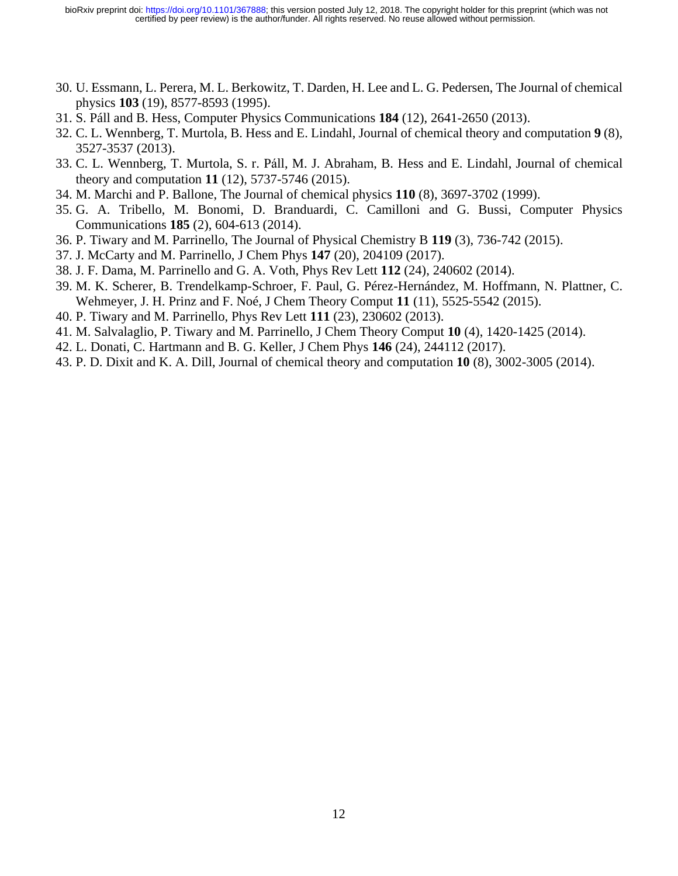- 30. U. Essmann, L. Perera, M. L. Berkowitz, T. Darden, H. Lee and L. G. Pedersen, The Journal of chemical physics **103** (19), 8577-8593 (1995).
- 31. S. Páll and B. Hess, Computer Physics Communications **184** (12), 2641-2650 (2013).
- 32. C. L. Wennberg, T. Murtola, B. Hess and E. Lindahl, Journal of chemical theory and computation **9** (8), 3527-3537 (2013).
- 33. C. L. Wennberg, T. Murtola, S. r. Páll, M. J. Abraham, B. Hess and E. Lindahl, Journal of chemical theory and computation **11** (12), 5737-5746 (2015).
- 34. M. Marchi and P. Ballone, The Journal of chemical physics **110** (8), 3697-3702 (1999).
- 35. G. A. Tribello, M. Bonomi, D. Branduardi, C. Camilloni and G. Bussi, Computer Physics Communications **185** (2), 604-613 (2014).
- 36. P. Tiwary and M. Parrinello, The Journal of Physical Chemistry B **119** (3), 736-742 (2015).
- 37. J. McCarty and M. Parrinello, J Chem Phys **147** (20), 204109 (2017).
- 38. J. F. Dama, M. Parrinello and G. A. Voth, Phys Rev Lett **112** (24), 240602 (2014).
- 39. M. K. Scherer, B. Trendelkamp-Schroer, F. Paul, G. Pérez-Hernández, M. Hoffmann, N. Plattner, C. Wehmeyer, J. H. Prinz and F. Noé, J Chem Theory Comput **11** (11), 5525-5542 (2015).
- 40. P. Tiwary and M. Parrinello, Phys Rev Lett **111** (23), 230602 (2013).
- 41. M. Salvalaglio, P. Tiwary and M. Parrinello, J Chem Theory Comput **10** (4), 1420-1425 (2014).
- 42. L. Donati, C. Hartmann and B. G. Keller, J Chem Phys **146** (24), 244112 (2017).
- 43. P. D. Dixit and K. A. Dill, Journal of chemical theory and computation **10** (8), 3002-3005 (2014).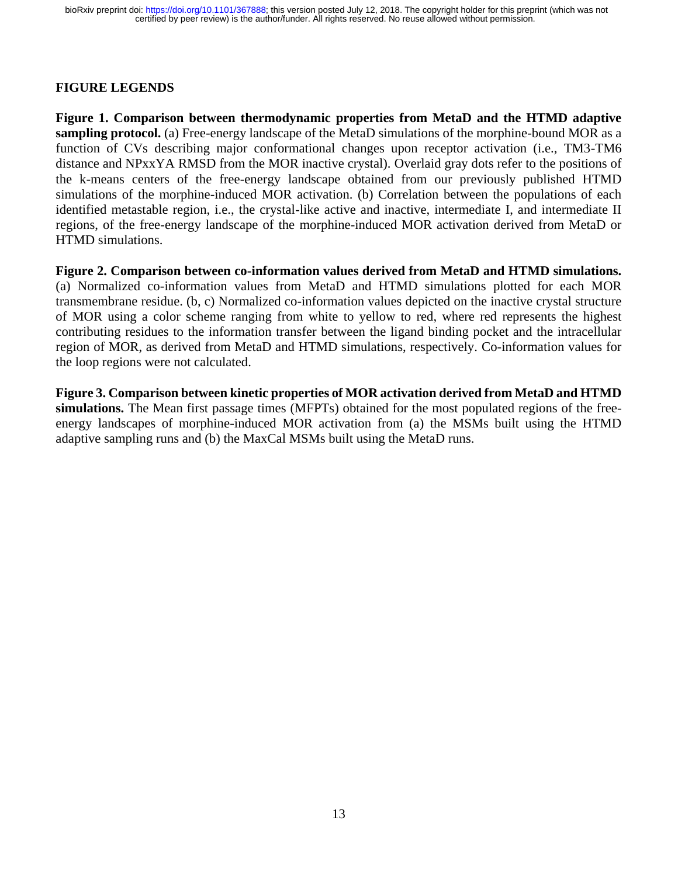#### **FIGURE LEGENDS**

**Figure 1. Comparison between thermodynamic properties from MetaD and the HTMD adaptive sampling protocol.** (a) Free-energy landscape of the MetaD simulations of the morphine-bound MOR as a function of CVs describing major conformational changes upon receptor activation (i.e., TM3-TM6 distance and NPxxYA RMSD from the MOR inactive crystal). Overlaid gray dots refer to the positions of the k-means centers of the free-energy landscape obtained from our previously published HTMD simulations of the morphine-induced MOR activation. (b) Correlation between the populations of each identified metastable region, i.e., the crystal-like active and inactive, intermediate I, and intermediate II regions, of the free-energy landscape of the morphine-induced MOR activation derived from MetaD or HTMD simulations.

**Figure 2. Comparison between co-information values derived from MetaD and HTMD simulations.** (a) Normalized co-information values from MetaD and HTMD simulations plotted for each MOR transmembrane residue. (b, c) Normalized co-information values depicted on the inactive crystal structure of MOR using a color scheme ranging from white to yellow to red, where red represents the highest contributing residues to the information transfer between the ligand binding pocket and the intracellular region of MOR, as derived from MetaD and HTMD simulations, respectively. Co-information values for the loop regions were not calculated.

**Figure 3. Comparison between kinetic properties of MOR activation derived from MetaD and HTMD simulations.** The Mean first passage times (MFPTs) obtained for the most populated regions of the freeenergy landscapes of morphine-induced MOR activation from (a) the MSMs built using the HTMD adaptive sampling runs and (b) the MaxCal MSMs built using the MetaD runs.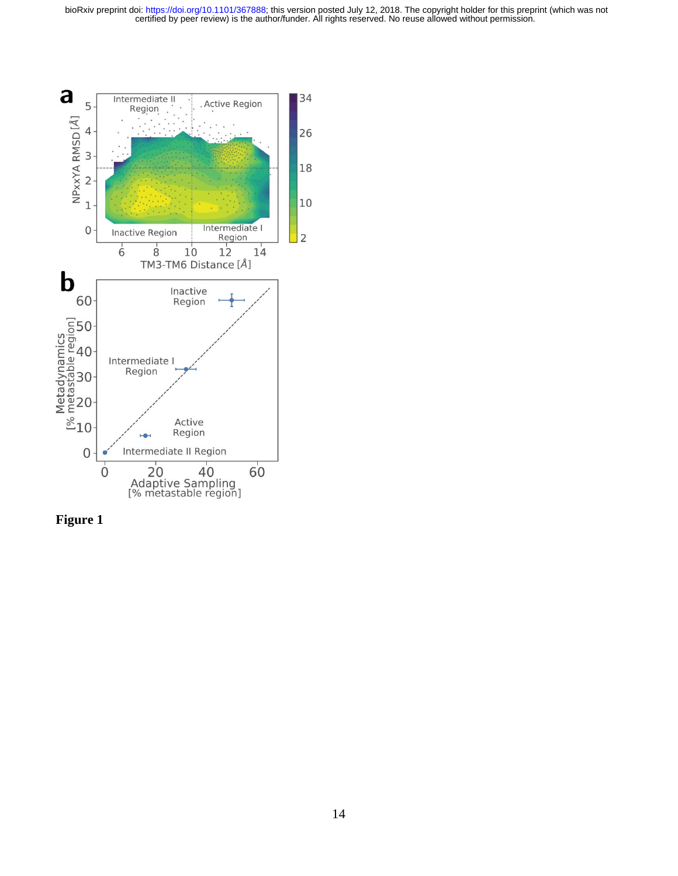certified by peer review) is the author/funder. All rights reserved. No reuse allowed without permission. bioRxiv preprint doi: [https://doi.org/10.1101/367888;](https://doi.org/10.1101/367888) this version posted July 12, 2018. The copyright holder for this preprint (which was not



**Figure 1**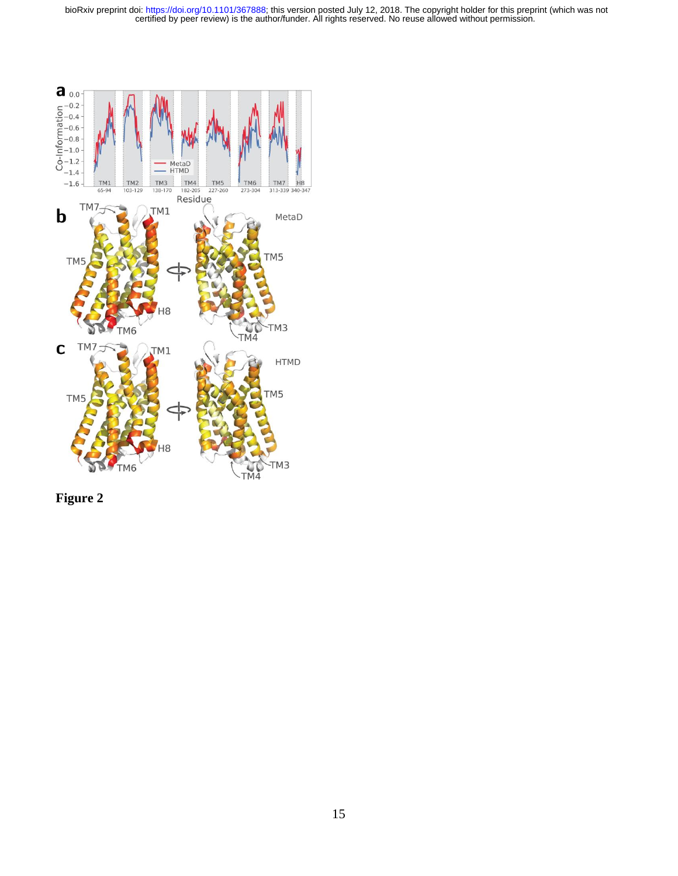certified by peer review) is the author/funder. All rights reserved. No reuse allowed without permission. bioRxiv preprint doi: [https://doi.org/10.1101/367888;](https://doi.org/10.1101/367888) this version posted July 12, 2018. The copyright holder for this preprint (which was not



**Figure 2**